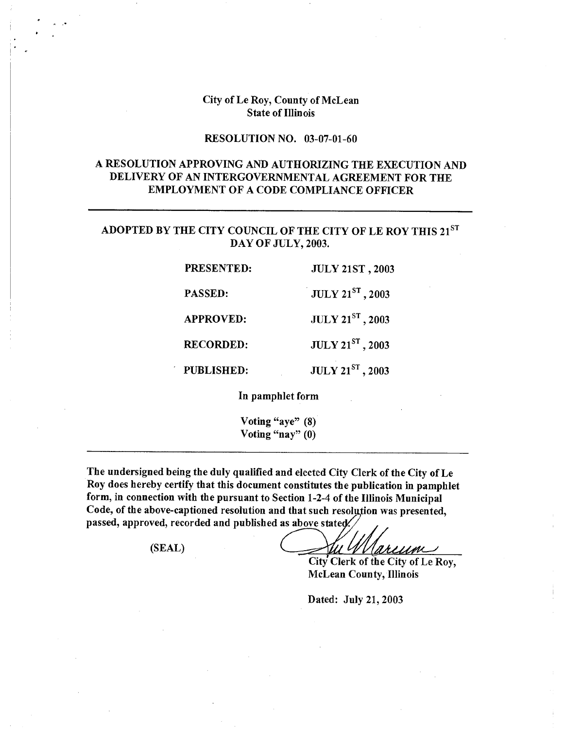### City of Le Roy, County of McLean State of Illinois

# RESOLUTION NO. 03-07-01-60

# A RESOLUTION APPROVING AND AUTHORIZING THE EXECUTION AND DELIVERY OF AN INTERGOVERNMENTAL AGREEMENT FOR THE EMPLOYMENT OF A CODE COMPLIANCE **OFFICER**

# **ADOPTED BY THE** CITY COUNCIL OF THE CITY OF LE ROY THIS 21sT DAY OF JULY, 2003.

| <b>PRESENTED:</b> | <b>JULY 21ST, 2003</b>  |
|-------------------|-------------------------|
| PASSED:           | <b>JULY 21ST</b> , 2003 |
| <b>APPROVED:</b>  | $JULY 21ST$ , 2003      |
| <b>RECORDED:</b>  | $JULY 21ST$ , 2003      |
| <b>PUBLISHED:</b> | JULY 21ST, 2003         |

In pamphlet form

Voting "aye" (8) Voting "nay"  $(0)$ 

The undersigned being the duly qualified and elected City Clerk of the City of Le Roy does hereby certify that this document constitutes the publication in pamphlet form, in connection with the pursuant to Section 1-2-4 of the Illinois Municipal Code, of the above-captioned resolution and that such resolution was presented, passed, approved, recorded and published as above stated.

(SEAL)

arcum

City Clerk of the City of Le Roy, McLean County, Illinois

Dated: July 21, 2003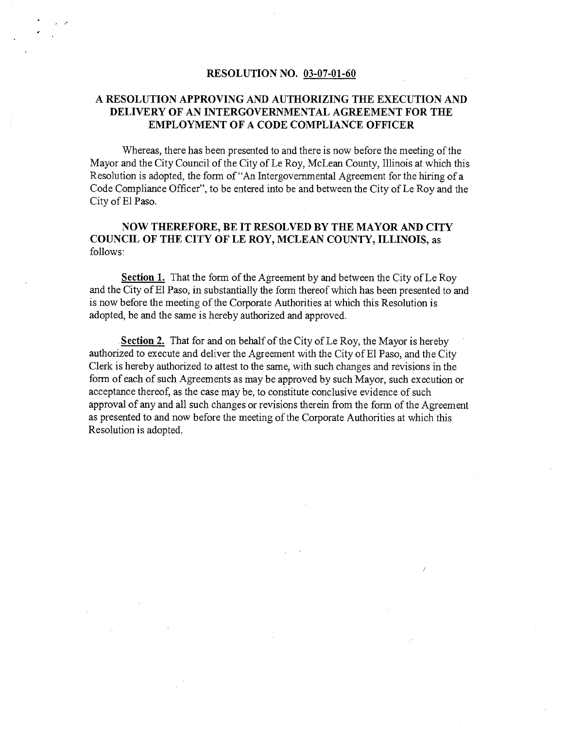#### **RESOLUTION NO. 03-07-01-60**

# **A RESOLUTION APPROVING AND AUTHORIZING THE EXECUTION AND DELIVERY OF AN INTERGOVERNMENTAL AGREEMENT FOR THE EMPLOYMENT OF A CODE COMPLIANCE OFFICER**

Whereas, there has been presented to and there is now before the meeting of the Mayor and the City Council of the City of Le Roy, McLean County, Illinois at which this Resolution is adopted, the form of "An Intergovernmental Agreement for the hiring of a Code Compliance Officer", to be entered into be and between the City of Le Roy and the City of El Paso.

### **NOW THEREFORE, BE IT RESOLVED BY THE MAYOR AND CITY COUNCIL OF THE CITY OF LE ROY, MCLEAN COUNTY, ILLINOIS, as**  follows:

**Section 1.** That the form of the Agreement by and between the City of Le Roy and the City of El Paso, in substantially the form thereof which has been presented to and is now before the meeting of the Corporate Authorities at which this Resolution is adopted, be and the same is hereby authorized and approved.

. **Section** 2. That for and on behalf of the City of Le Roy, the Mayor is hereby authorized to execute and deliver the Agreement with the City of El Paso, and the City Clerk is hereby authorized to attest to the same, with such changes and revisions in the form of each of such Agreements as may be approved by such Mayor, such execution or acceptance thereof, as the case may be, to constitute conclusive evidence of such approval of any and all such changes or revisions therein from the form of the Agreement as presented to and now before the meeting of the Corporate Authorities at which this Resolution is adopted.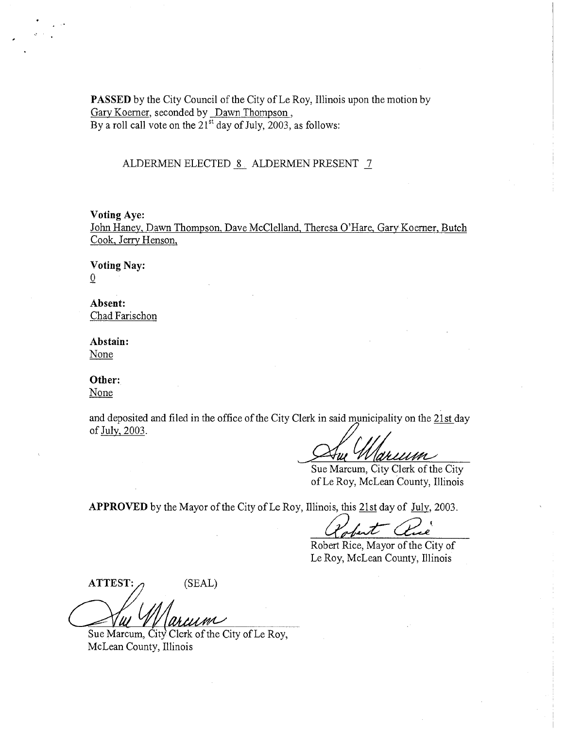PASSED by the City Council of the City of Le Roy, Illinois upon the motion by Gary Koerner, seconded by Dawn Thompson, By a roll call vote on the  $21<sup>st</sup>$  day of July, 2003, as follows:

### ALDERMEN ELECTED 8 ALDERMEN PRESENT 7

#### Voting Aye:

John Haney, Dawn Thompson, Dave McClelland, Theresa O'Hare, Gary' Koerner, Butch Cook, Jerry Henson,

Voting Nay:  $\overline{0}$ 

Absent: Chad Farischon

Abstain: None

Other:

None

and deposited and filed in the office of the City Clerk in said municipality on the 21st day of July, 2003.

 $\alpha$ rium

Sue Marcum, City Clerk of the City of Le Roy, McLean County, Illinois

APPROVED by the Mayor of the City of Le Roy, Illinois, this 21st day of July, 2003.

 $\boldsymbol{\mathcal{F}}$ 

Robert Rice, Mayor of the City of Le Roy, McLean County, Illinois

 $ATTEST: \qquad (SEAL)$ 

**V ACACION**<br>Sue Marcum, City Clerk of the City of Le Roy, McLean County, Illinois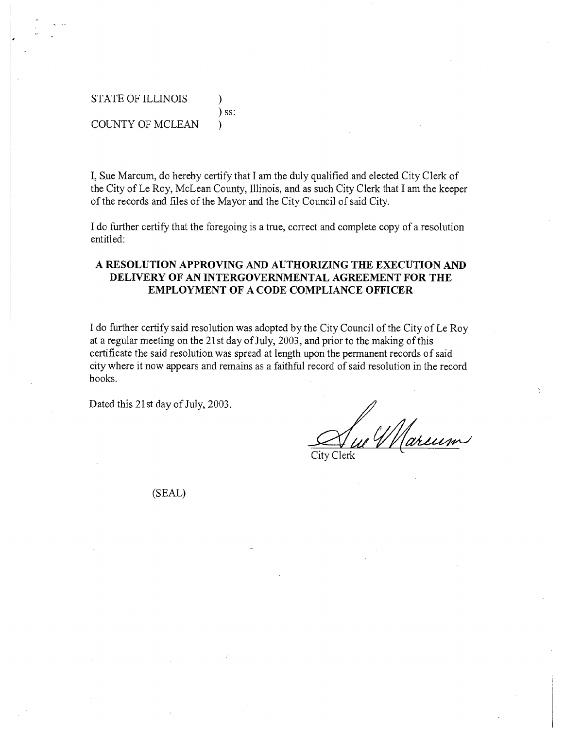# STATE OF ILLINOIS ) ) ss: COUNTY OF MCLEAN  $\qquad$

I, Sue Marcum, do hereby certify that I am the duly qualified and elected City Clerk of the City of Le Roy, McLean County, Illinois, and as such City Clerk that I am the keeper of the records and files of the Mayor and the City Council of said City.

I do further certify that the foregoing is a true, correct and complete copy of a resolution entitled:

## A RESOLUTION APPROVING AND AUTHORIZING THE EXECUTION AND DELIVERY OF AN INTERGOVERNMENTAL AGREEMENT FOR THE EMPLOYMENT OF A CODE COMPLIANCE OFFICER

I do further certify said resolution was adopted by the City Council of the City of Le Roy at a regular meeting on the 21 st day of July, 2003, and prior to the making of this certificate the said resolution was spread at length upon the permanent records of said city where it now appears and remains as a faithful record of said resolution in the record books.

Dated this 21 st day of July, 2003.

u Wareum

City Clerk

(SEAL)